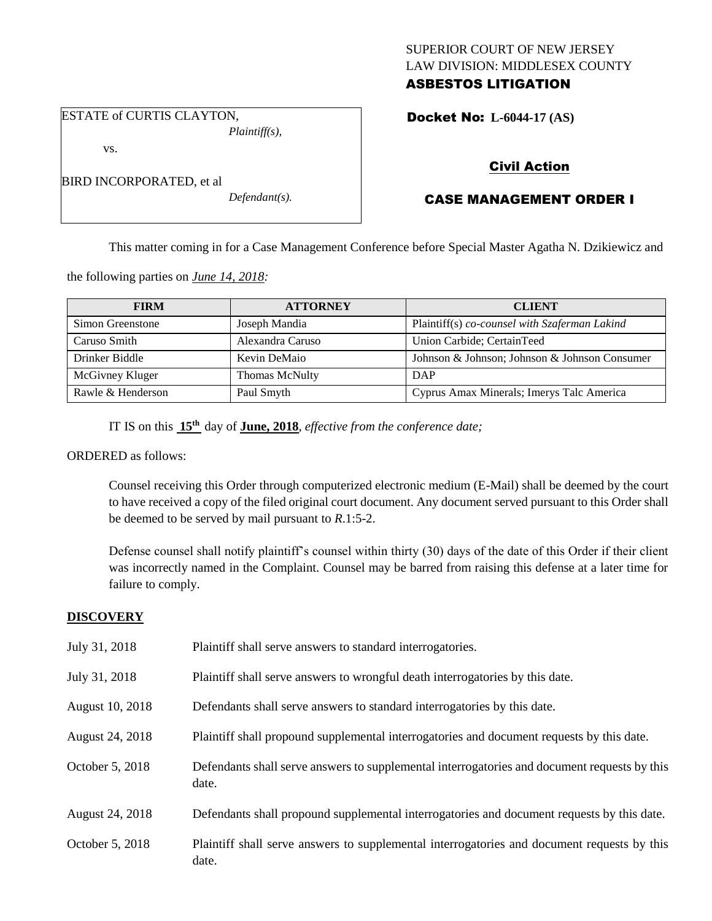# SUPERIOR COURT OF NEW JERSEY LAW DIVISION: MIDDLESEX COUNTY ASBESTOS LITIGATION

Docket No: **L-6044-17 (AS)** 

ESTATE of CURTIS CLAYTON,

BIRD INCORPORATED, et al

vs.

*Plaintiff(s),*

*Defendant(s).*

# Civil Action

# CASE MANAGEMENT ORDER I

This matter coming in for a Case Management Conference before Special Master Agatha N. Dzikiewicz and

the following parties on *June 14, 2018:*

| <b>FIRM</b>       | <b>ATTORNEY</b>  | <b>CLIENT</b>                                 |
|-------------------|------------------|-----------------------------------------------|
| Simon Greenstone  | Joseph Mandia    | Plaintiff(s) co-counsel with Szaferman Lakind |
| Caruso Smith      | Alexandra Caruso | Union Carbide; CertainTeed                    |
| Drinker Biddle    | Kevin DeMaio     | Johnson & Johnson; Johnson & Johnson Consumer |
| McGivney Kluger   | Thomas McNulty   | <b>DAP</b>                                    |
| Rawle & Henderson | Paul Smyth       | Cyprus Amax Minerals; Imerys Talc America     |

IT IS on this **15th** day of **June, 2018**, *effective from the conference date;*

ORDERED as follows:

Counsel receiving this Order through computerized electronic medium (E-Mail) shall be deemed by the court to have received a copy of the filed original court document. Any document served pursuant to this Order shall be deemed to be served by mail pursuant to *R*.1:5-2.

Defense counsel shall notify plaintiff's counsel within thirty (30) days of the date of this Order if their client was incorrectly named in the Complaint. Counsel may be barred from raising this defense at a later time for failure to comply.

# **DISCOVERY**

| July 31, 2018   | Plaintiff shall serve answers to standard interrogatories.                                            |
|-----------------|-------------------------------------------------------------------------------------------------------|
| July 31, 2018   | Plaintiff shall serve answers to wrongful death interrogatories by this date.                         |
| August 10, 2018 | Defendants shall serve answers to standard interrogatories by this date.                              |
| August 24, 2018 | Plaintiff shall propound supplemental interrogatories and document requests by this date.             |
| October 5, 2018 | Defendants shall serve answers to supplemental interrogatories and document requests by this<br>date. |
| August 24, 2018 | Defendants shall propound supplemental interrogatories and document requests by this date.            |
| October 5, 2018 | Plaintiff shall serve answers to supplemental interrogatories and document requests by this<br>date.  |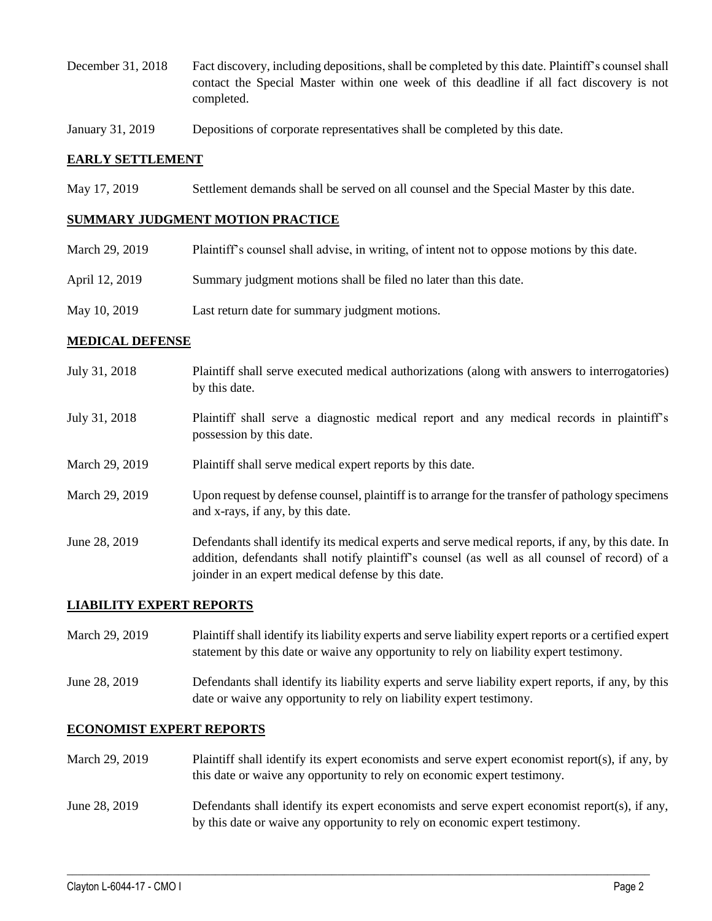- December 31, 2018 Fact discovery, including depositions, shall be completed by this date. Plaintiff's counsel shall contact the Special Master within one week of this deadline if all fact discovery is not completed.
- January 31, 2019 Depositions of corporate representatives shall be completed by this date.

## **EARLY SETTLEMENT**

May 17, 2019 Settlement demands shall be served on all counsel and the Special Master by this date.

### **SUMMARY JUDGMENT MOTION PRACTICE**

| March 29, 2019 | Plaintiff's counsel shall advise, in writing, of intent not to oppose motions by this date. |
|----------------|---------------------------------------------------------------------------------------------|
| April 12, 2019 | Summary judgment motions shall be filed no later than this date.                            |
| May 10, 2019   | Last return date for summary judgment motions.                                              |

## **MEDICAL DEFENSE**

- July 31, 2018 Plaintiff shall serve executed medical authorizations (along with answers to interrogatories) by this date.
- July 31, 2018 Plaintiff shall serve a diagnostic medical report and any medical records in plaintiff's possession by this date.
- March 29, 2019 Plaintiff shall serve medical expert reports by this date.
- March 29, 2019 Upon request by defense counsel, plaintiff is to arrange for the transfer of pathology specimens and x-rays, if any, by this date.
- June 28, 2019 Defendants shall identify its medical experts and serve medical reports, if any, by this date. In addition, defendants shall notify plaintiff's counsel (as well as all counsel of record) of a joinder in an expert medical defense by this date.

#### **LIABILITY EXPERT REPORTS**

March 29, 2019 Plaintiff shall identify its liability experts and serve liability expert reports or a certified expert statement by this date or waive any opportunity to rely on liability expert testimony.

June 28, 2019 Defendants shall identify its liability experts and serve liability expert reports, if any, by this date or waive any opportunity to rely on liability expert testimony.

### **ECONOMIST EXPERT REPORTS**

- March 29, 2019 Plaintiff shall identify its expert economists and serve expert economist report(s), if any, by this date or waive any opportunity to rely on economic expert testimony.
- June 28, 2019 Defendants shall identify its expert economists and serve expert economist report(s), if any, by this date or waive any opportunity to rely on economic expert testimony.

 $\_$  ,  $\_$  ,  $\_$  ,  $\_$  ,  $\_$  ,  $\_$  ,  $\_$  ,  $\_$  ,  $\_$  ,  $\_$  ,  $\_$  ,  $\_$  ,  $\_$  ,  $\_$  ,  $\_$  ,  $\_$  ,  $\_$  ,  $\_$  ,  $\_$  ,  $\_$  ,  $\_$  ,  $\_$  ,  $\_$  ,  $\_$  ,  $\_$  ,  $\_$  ,  $\_$  ,  $\_$  ,  $\_$  ,  $\_$  ,  $\_$  ,  $\_$  ,  $\_$  ,  $\_$  ,  $\_$  ,  $\_$  ,  $\_$  ,